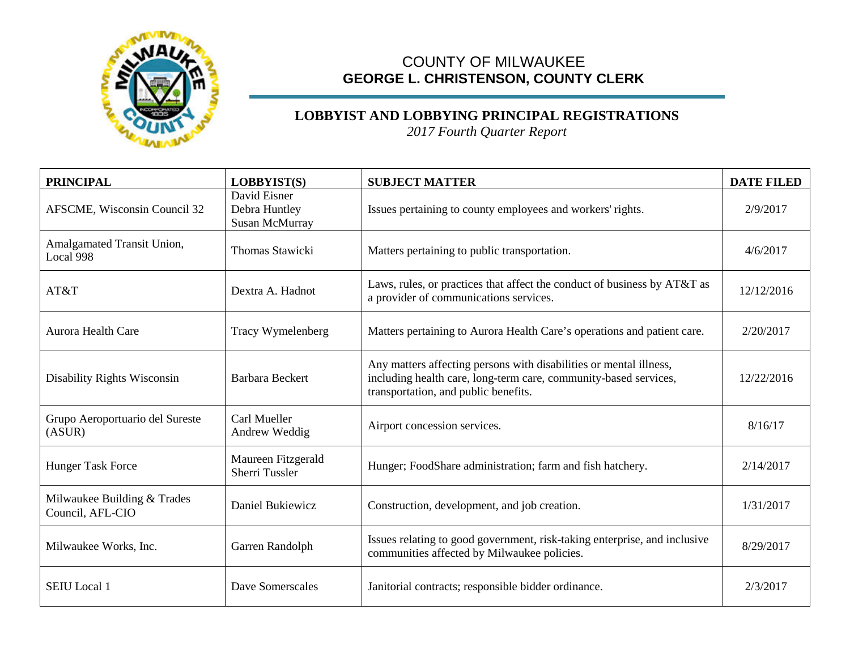

## COUNTY OF MILWAUKEE **GEORGE L. CHRISTENSON, COUNTY CLERK**

## **LOBBYIST AND LOBBYING PRINCIPAL REGISTRATIONS**

*2017 Fourth Quarter Report*

| <b>PRINCIPAL</b>                                | LOBBYIST(S)                                     | <b>SUBJECT MATTER</b>                                                                                                                                                          | <b>DATE FILED</b> |
|-------------------------------------------------|-------------------------------------------------|--------------------------------------------------------------------------------------------------------------------------------------------------------------------------------|-------------------|
| <b>AFSCME, Wisconsin Council 32</b>             | David Eisner<br>Debra Huntley<br>Susan McMurray | Issues pertaining to county employees and workers' rights.                                                                                                                     | 2/9/2017          |
| Amalgamated Transit Union,<br>Local 998         | <b>Thomas Stawicki</b>                          | Matters pertaining to public transportation.                                                                                                                                   | 4/6/2017          |
| AT&T                                            | Dextra A. Hadnot                                | Laws, rules, or practices that affect the conduct of business by AT&T as<br>a provider of communications services.                                                             | 12/12/2016        |
| <b>Aurora Health Care</b>                       | Tracy Wymelenberg                               | Matters pertaining to Aurora Health Care's operations and patient care.                                                                                                        | 2/20/2017         |
| <b>Disability Rights Wisconsin</b>              | <b>Barbara Beckert</b>                          | Any matters affecting persons with disabilities or mental illness,<br>including health care, long-term care, community-based services,<br>transportation, and public benefits. | 12/22/2016        |
| Grupo Aeroportuario del Sureste<br>(ASUR)       | Carl Mueller<br>Andrew Weddig                   | Airport concession services.                                                                                                                                                   | 8/16/17           |
| <b>Hunger Task Force</b>                        | Maureen Fitzgerald<br>Sherri Tussler            | Hunger; FoodShare administration; farm and fish hatchery.                                                                                                                      | 2/14/2017         |
| Milwaukee Building & Trades<br>Council, AFL-CIO | Daniel Bukiewicz                                | Construction, development, and job creation.                                                                                                                                   | 1/31/2017         |
| Milwaukee Works, Inc.                           | Garren Randolph                                 | Issues relating to good government, risk-taking enterprise, and inclusive<br>communities affected by Milwaukee policies.                                                       | 8/29/2017         |
| <b>SEIU</b> Local 1                             | Dave Somerscales                                | Janitorial contracts; responsible bidder ordinance.                                                                                                                            | 2/3/2017          |